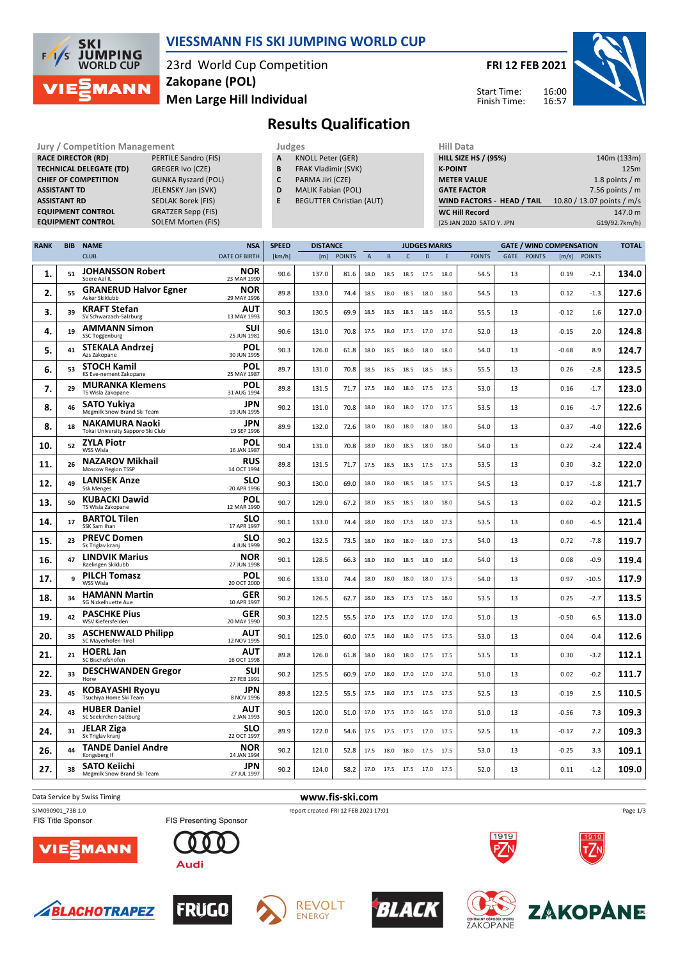

### **VIESSMANN FIS SKI JUMPING WORLD CUP**

23rd World Cup Competition **Men Large Hill Individual Zakopane (POL)**

**FRI 12 FEB 2021**

16:00 16:57



Start Time: Finish Time:

# **Results Qualification**

| Jury / Competition Manage      |
|--------------------------------|
| <b>RACE DIRECTOR (RD)</b>      |
| <b>TECHNICAL DELEGATE (TD)</b> |
| <b>CHIEF OF COMPETITION</b>    |
| <b>ASSISTANT TD</b>            |
| <b>ASSISTANT RD</b>            |
| <b>EQUIPMENT CONTROL</b>       |
| <b>EQUIPMENT CONTROL</b>       |
|                                |

**PERTILE Sandro (FIS) GREGER Ivo (CZE) GUNKA Ryszard (POL) JELENSKY Jan (SVK) SEDLAK Borek (FIS) EXAMER Sepp (FIS)**<br>**SOLEM Morten (FIS)** 

- **Jury / Competition Management Judges Hill Data A** KNOLL Peter (GER) **B** FRAK Vladimir (SVK)
	- **C** PARMA Jiri (CZE)
	- **D** MALIK Fabian (POL)
	- **E** BEGUTTER Christian (AUT)

| niil Data                   |                            |
|-----------------------------|----------------------------|
| <b>HILL SIZE HS / (95%)</b> | 140m (133m)                |
| <b>K-POINT</b>              | 125m                       |
| <b>METER VALUE</b>          | 1.8 points $/m$            |
| <b>GATE FACTOR</b>          | 7.56 points $/m$           |
| WIND FACTORS - HEAD / TAIL  | 10.80 / 13.07 points / m/s |
| <b>WC Hill Record</b>       | 147.0 m                    |
| (25 JAN 2020 SATO Y. JPN    | G19/92.7km/h)              |

| <b>RANK</b> | <b>BIB</b> | <b>NAME</b>                                                | <b>NSA</b>                | <b>SPEED</b> | <b>DISTANCE</b> |               |                | <b>JUDGES MARKS</b> |              |              |      |               | <b>GATE / WIND COMPENSATION</b> |               |         |               |       |
|-------------|------------|------------------------------------------------------------|---------------------------|--------------|-----------------|---------------|----------------|---------------------|--------------|--------------|------|---------------|---------------------------------|---------------|---------|---------------|-------|
|             |            | <b>CLUB</b>                                                | <b>DATE OF BIRTH</b>      | [km/h]       | [m]             | <b>POINTS</b> | $\overline{A}$ | B                   | $\mathsf{C}$ | $\mathbf{D}$ | E    | <b>POINTS</b> | GATE                            | <b>POINTS</b> | [m/s]   | <b>POINTS</b> |       |
| 1.          | 51         | <b>JOHANSSON Robert</b><br>Soere Aal IL                    | <b>NOR</b><br>23 MAR 1990 | 90.6         | 137.0           | 81.6          | 18.0           | 18.5                | 18.5         | 17.5         | 18.0 | 54.5          | 13                              |               | 0.19    | $-2.1$        | 134.0 |
| 2.          | 55         | <b>GRANERUD Halvor Egner</b><br>Asker Skiklubb             | <b>NOR</b><br>29 MAY 1996 | 89.8         | 133.0           | 74.4          | 18.5           | 18.0                | 18.5         | 18.0         | 18.0 | 54.5          | 13                              |               | 0.12    | $-1.3$        | 127.6 |
| 3.          | 39         | <b>KRAFT Stefan</b><br>SV Schwarzach-Salzburg              | AUT<br>13 MAY 1993        | 90.3         | 130.5           | 69.9          | 18.5           | 18.5                | 18.5         | 18.5         | 18.0 | 55.5          | 13                              |               | $-0.12$ | 1.6           | 127.0 |
| 4.          | 19         | <b>AMMANN Simon</b><br>SSC Toggenburg                      | <b>SUI</b><br>25 JUN 1981 | 90.6         | 131.0           | 70.8          | 17.5           | 18.0                | 17.5         | 17.0         | 17.0 | 52.0          | 13                              |               | $-0.15$ | 2.0           | 124.8 |
| 5.          | 41         | <b>STEKALA Andrzej</b><br>Azs Zakopane                     | POL<br>30 JUN 1995        | 90.3         | 126.0           | 61.8          | 18.0           | 18.5                | 18.0         | 18.0         | 18.0 | 54.0          | 13                              |               | $-0.68$ | 8.9           | 124.7 |
| 6.          | 53         | <b>STOCH Kamil</b><br>KS Eve-nement Zakopane               | POL<br>25 MAY 1987        | 89.7         | 131.0           | 70.8          | 18.5           | 18.5 18.5           |              | 18.5         | 18.5 | 55.5          | 13                              |               | 0.26    | $-2.8$        | 123.5 |
| 7.          | 29         | <b>MURANKA Klemens</b><br>TS Wisla Zakopane                | POL<br>31 AUG 1994        | 89.8         | 131.5           | 71.7          | 17.5           | 18.0                | 18.0         | 17.5         | 17.5 | 53.0          | 13                              |               | 0.16    | $-1.7$        | 123.0 |
| 8.          | 46         | SATO Yukiya<br>Megmilk Snow Brand Ski Team                 | <b>JPN</b><br>19 JUN 1995 | 90.2         | 131.0           | 70.8          | 18.0           | 18.0                | 18.0         | 17.0         | 17.5 | 53.5          | 13                              |               | 0.16    | $-1.7$        | 122.6 |
| 8.          | 18         | <b>NAKAMURA Naoki</b><br>Tokai University Sapporo Ski Club | <b>JPN</b><br>19 SEP 1996 | 89.9         | 132.0           | 72.6          | 18.0           | 18.0                | 18.0         | 18.0         | 18.0 | 54.0          | 13                              |               | 0.37    | $-4.0$        | 122.6 |
| 10.         | 52         | <b>ZYLA Piotr</b><br>WSS Wisla                             | POL<br>16 JAN 1987        | 90.4         | 131.0           | 70.8          | 18.0           | 18.0                | 18.5         | 18.0         | 18.0 | 54.0          | 13                              |               | 0.22    | $-2.4$        | 122.4 |
| 11.         | 26         | <b>NAZAROV Mikhail</b><br>Moscow Region TSSP               | <b>RUS</b><br>14 OCT 1994 | 89.8         | 131.5           | 71.7          | 17.5           | 18.5                | 18.5         | 17.5         | 17.5 | 53.5          | 13                              |               | 0.30    | $-3.2$        | 122.0 |
| 12.         | 49         | <b>LANISEK Anze</b><br><b>Ssk Menges</b>                   | <b>SLO</b><br>20 APR 1996 | 90.3         | 130.0           | 69.0          | 18.0           | 18.0                | 18.5         | 18.5         | 17.5 | 54.5          | 13                              |               | 0.17    | $-1.8$        | 121.7 |
| 13.         | 50         | <b>KUBACKI Dawid</b><br>TS Wisla Zakopane                  | POL<br>12 MAR 1990        | 90.7         | 129.0           | 67.2          | 18.0           | 18.5                | 18.5         | 18.0         | 18.0 | 54.5          | 13                              |               | 0.02    | $-0.2$        | 121.5 |
| 14.         | 17         | <b>BARTOL Tilen</b><br>SSK Sam Ihan                        | <b>SLO</b><br>17 APR 1997 | 90.1         | 133.0           | 74.4          | 18.0           | 18.0 17.5           |              | 18.0         | 17.5 | 53.5          | 13                              |               | 0.60    | $-6.5$        | 121.4 |
| 15.         | 23         | <b>PREVC Domen</b><br>Sk Triglav kranj                     | <b>SLO</b><br>4 JUN 1999  | 90.2         | 132.5           | 73.5          | 18.0           | 18.0                | 18.0         | 18.0         | 17.5 | 54.0          | 13                              |               | 0.72    | $-7.8$        | 119.7 |
| 16.         | 47         | <b>LINDVIK Marius</b><br>Raelingen Skiklubb                | NOR<br>27 JUN 1998        | 90.1         | 128.5           | 66.3          | 18.0           | 18.0                | 18.5         | 18.0         | 18.0 | 54.0          | 13                              |               | 0.08    | $-0.9$        | 119.4 |
| 17.         | 9          | <b>PILCH Tomasz</b><br>WSS Wisla                           | <b>POL</b><br>20 OCT 2000 | 90.6         | 133.0           | 74.4          | 18.0           | 18.0                | 18.0         | 18.0         | 17.5 | 54.0          | 13                              |               | 0.97    | $-10.5$       | 117.9 |
| 18.         | 34         | <b>HAMANN Martin</b><br>SG Nickelhuette Aue                | <b>GER</b><br>10 APR 1997 | 90.2         | 126.5           | 62.7          | 18.0           | 18.5                | 17.5         | 17.5         | 18.0 | 53.5          | 13                              |               | 0.25    | $-2.7$        | 113.5 |
| 19.         | 42         | <b>PASCHKE Pius</b><br>WSV Kiefersfelden                   | <b>GER</b><br>20 MAY 1990 | 90.3         | 122.5           | 55.5          | 17.0           | 17.5                | 17.0         | 17.0         | 17.0 | 51.0          | 13                              |               | $-0.50$ | 6.5           | 113.0 |
| 20.         | 35         | <b>ASCHENWALD Philipp</b><br>SC Mayerhofen-Tirol           | AUT<br>12 NOV 1995        | 90.1         | 125.0           | 60.0          | 17.5           | 18.0                | 18.0         | 17.5         | 17.5 | 53.0          | 13                              |               | 0.04    | $-0.4$        | 112.6 |
| 21.         | 21         | <b>HOERL Jan</b><br>SC Bischofshofen                       | <b>AUT</b><br>16 OCT 1998 | 89.8         | 126.0           | 61.8          | 18.0           | 18.0                | 18.0         | 17.5         | 17.5 | 53.5          | 13                              |               | 0.30    | $-3.2$        | 112.1 |
| 22.         | 33         | <b>DESCHWANDEN Gregor</b><br>Horw                          | SUI<br>27 FEB 1991        | 90.2         | 125.5           | 60.9          | 17.0           | 18.0                | 17.0 17.0    |              | 17.0 | 51.0          | 13                              |               | 0.02    | $-0.2$        | 111.7 |
| 23.         | 45         | <b>KOBAYASHI Ryoyu</b><br>Tsuchiya Home Ski Team           | <b>JPN</b><br>8 NOV 1996  | 89.8         | 122.5           | 55.5          | 17.5           | 18.0                | 17.5         | 17.5         | 17.5 | 52.5          | 13                              |               | $-0.19$ | 2.5           | 110.5 |
| 24.         | 43         | <b>HUBER Daniel</b><br>SC Seekirchen-Salzburg              | AUT<br>2 JAN 1993         | 90.5         | 120.0           | 51.0          | 17.0           | 17.5                | 17.0         | 16.5         | 17.0 | 51.0          | 13                              |               | $-0.56$ | 7.3           | 109.3 |
| 24.         | 31         | <b>JELAR Ziga</b><br>Sk Triglav kranj                      | <b>SLO</b><br>22 OCT 1997 | 89.9         | 122.0           | 54.6          | 17.5           | 17.5 17.5           |              | 17.0         | 17.5 | 52.5          | 13                              |               | $-0.17$ | 2.2           | 109.3 |
| 26.         | 44         | <b>TANDE Daniel Andre</b><br>Kongsberg If                  | <b>NOR</b><br>24 JAN 1994 | 90.2         | 121.0           | 52.8          | 17.5           | 18.0                | 18.0         | 17.5         | 17.5 | 53.0          | 13                              |               | $-0.25$ | 3.3           | 109.1 |
| 27.         | 38         | <b>SATO Keiichi</b><br>Megmilk Snow Brand Ski Team         | <b>JPN</b><br>27 JUL 1997 | 90.2         | 124.0           | 58.2          | 17.0           | 17.5 17.5           |              | 17.0         | 17.5 | 52.0          | 13                              |               | 0.11    | $-1.2$        | 109.0 |

FIS Title Sponsor

Data Service by Swiss Timing **www.fis-ski.com**

SJM090901\_73B 1.0 report created FRI 12 FEB 2021 17:01

















1919



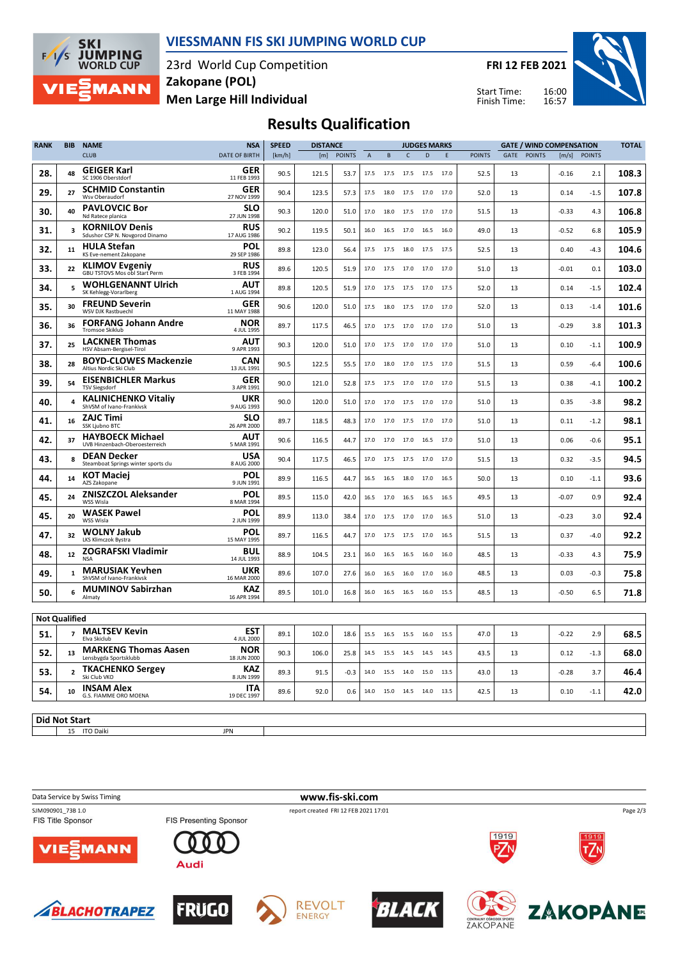

#### **VIESSMANN FIS SKI JUMPING WORLD CUP**

23rd World Cup Competition **Men Large Hill Individual Zakopane (POL)**

**FRI 12 FEB 2021**

Start Time: Finish Time:



## **Results Qualification**

| <b>RANK</b>          | <b>BIB</b>     | <b>NAME</b>                                               | <b>NSA</b>                | <b>SPEED</b> | <b>DISTANCE</b> |               |             | <b>JUDGES MARKS</b> |                |      |             |               | <b>GATE / WIND COMPENSATION</b> |               |         |               |       |
|----------------------|----------------|-----------------------------------------------------------|---------------------------|--------------|-----------------|---------------|-------------|---------------------|----------------|------|-------------|---------------|---------------------------------|---------------|---------|---------------|-------|
|                      |                | <b>CLUB</b>                                               | <b>DATE OF BIRTH</b>      | [km/h]       | [m]             | <b>POINTS</b> | $\mathsf A$ | $\, {\sf B}$        | $\mathsf{C}$   | D    | $\mathsf E$ | <b>POINTS</b> | GATE                            | <b>POINTS</b> | [m/s]   | <b>POINTS</b> |       |
| 28.                  | 48             | <b>GEIGER Karl</b><br>SC 1906 Oberstdorf                  | GER<br>11 FEB 1993        | 90.5         | 121.5           | 53.7          | 17.5        | 17.5                | 17.5 17.5      |      | 17.0        | 52.5          | 13                              |               | $-0.16$ | 2.1           | 108.3 |
| 29.                  | 27             | <b>SCHMID Constantin</b><br>Wsv Oberaudorf                | GER<br>27 NOV 1999        | 90.4         | 123.5           | 57.3          | 17.5        | 18.0                | 17.5           | 17.0 | 17.0        | 52.0          | 13                              |               | 0.14    | $-1.5$        | 107.8 |
| 30.                  | 40             | <b>PAVLOVCIC Bor</b><br>Nd Ratece planica                 | <b>SLO</b><br>27 JUN 1998 | 90.3         | 120.0           | 51.0          | 17.0        | 18.0                | 17.5           | 17.0 | 17.0        | 51.5          | 13                              |               | $-0.33$ | 4.3           | 106.8 |
| 31.                  | 3              | <b>KORNILOV Denis</b><br>Sdushor CSP N. Novgorod Dinamo   | <b>RUS</b><br>17 AUG 1986 | 90.2         | 119.5           | 50.1          | 16.0        |                     | 16.5 17.0 16.5 |      | 16.0        | 49.0          | 13                              |               | $-0.52$ | 6.8           | 105.9 |
| 32.                  | 11             | <b>HULA Stefan</b><br>KS Eve-nement Zakopane              | POL<br>29 SEP 1986        | 89.8         | 123.0           | 56.4          | 17.5        | 17.5                | 18.0           | 17.5 | 17.5        | 52.5          | 13                              |               | 0.40    | $-4.3$        | 104.6 |
| 33.                  | 22             | <b>KLIMOV Evgeniy</b><br>GBU TSTOVS Mos obl Start Perm    | <b>RUS</b><br>3 FEB 1994  | 89.6         | 120.5           | 51.9          | 17.0        | 17.5                | 17.0           | 17.0 | 17.0        | 51.0          | 13                              |               | $-0.01$ | 0.1           | 103.0 |
| 34.                  | 5              | <b>WOHLGENANNT Ulrich</b><br>SK Kehlegg-Vorarlberg        | AUT<br>1 AUG 1994         | 89.8         | 120.5           | 51.9          | 17.0        | 17.5                | 17.5           | 17.0 | 17.5        | 52.0          | 13                              |               | 0.14    | $-1.5$        | 102.4 |
| 35.                  | 30             | <b>FREUND Severin</b><br>WSV DJK Rastbuechl               | GER<br>11 MAY 1988        | 90.6         | 120.0           | 51.0          | 17.5        |                     | 18.0 17.5      | 17.0 | 17.0        | 52.0          | 13                              |               | 0.13    | $-1.4$        | 101.6 |
| 36.                  | 36             | <b>FORFANG Johann Andre</b><br><b>Tromsoe Skiklub</b>     | <b>NOR</b><br>4 JUL 1995  | 89.7         | 117.5           | 46.5          | 17.0        |                     | 17.5 17.0      | 17.0 | 17.0        | 51.0          | 13                              |               | $-0.29$ | 3.8           | 101.3 |
| 37.                  | 25             | <b>LACKNER Thomas</b><br>HSV Absam-Bergisel-Tirol         | <b>AUT</b><br>9 APR 1993  | 90.3         | 120.0           | 51.0          | 17.0        | 17.5                | 17.0           | 17.0 | 17.0        | 51.0          | 13                              |               | 0.10    | $-1.1$        | 100.9 |
| 38.                  | 28             | <b>BOYD-CLOWES Mackenzie</b><br>Altius Nordic Ski Club    | <b>CAN</b><br>13 JUL 1991 | 90.5         | 122.5           | 55.5          | 17.0        | 18.0                | 17.0           | 17.5 | 17.0        | 51.5          | 13                              |               | 0.59    | $-6.4$        | 100.6 |
| 39.                  | 54             | <b>EISENBICHLER Markus</b><br><b>TSV Siegsdorf</b>        | GER<br>3 APR 1991         | 90.0         | 121.0           | 52.8          | 17.5        |                     | 17.5 17.0      | 17.0 | 17.0        | 51.5          | 13                              |               | 0.38    | $-4.1$        | 100.2 |
| 40.                  | $\overline{a}$ | <b>KALINICHENKO Vitaliv</b><br>ShVSM of Ivano-Frankivsk   | <b>UKR</b><br>9 AUG 1993  | 90.0         | 120.0           | 51.0          | 17.0        |                     | 17.0 17.5      | 17.0 | 17.0        | 51.0          | 13                              |               | 0.35    | $-3.8$        | 98.2  |
| 41.                  | 16             | <b>ZAJC Timi</b><br>SSK Ljubno BTC                        | <b>SLO</b><br>26 APR 2000 | 89.7         | 118.5           | 48.3          | 17.0        |                     | 17.0 17.5      | 17.0 | 17.0        | 51.0          | 13                              |               | 0.11    | $-1.2$        | 98.1  |
| 42.                  | 37             | <b>HAYBOECK Michael</b><br>UVB Hinzenbach-Oberoesterreich | AUT<br>5 MAR 1991         | 90.6         | 116.5           | 44.7          | 17.0        | 17.0                | 17.0           | 16.5 | 17.0        | 51.0          | 13                              |               | 0.06    | $-0.6$        | 95.1  |
| 43.                  | 8              | <b>DEAN Decker</b><br>Steamboat Springs winter sports clu | USA<br>8 AUG 2000         | 90.4         | 117.5           | 46.5          | 17.0        | 17.5                | 17.5           | 17.0 | 17.0        | 51.5          | 13                              |               | 0.32    | $-3.5$        | 94.5  |
| 44.                  | 14             | <b>KOT Maciei</b><br>AZS Zakopane                         | <b>POL</b><br>9 JUN 1991  | 89.9         | 116.5           | 44.7          | 16.5        |                     | 16.5 18.0      | 17.0 | 16.5        | 50.0          | 13                              |               | 0.10    | $-1.1$        | 93.6  |
| 45.                  | 24             | <b>ZNISZCZOL Aleksander</b><br>WSS Wisla                  | <b>POL</b><br>8 MAR 1994  | 89.5         | 115.0           | 42.0          | 16.5        | 17.0                | 16.5           | 16.5 | 16.5        | 49.5          | 13                              |               | $-0.07$ | 0.9           | 92.4  |
| 45.                  | 20             | <b>WASEK Pawel</b><br>WSS Wisla                           | POL<br>2 JUN 1999         | 89.9         | 113.0           | 38.4          | 17.0        | 17.5 17.0           |                | 17.0 | 16.5        | 51.0          | 13                              |               | $-0.23$ | 3.0           | 92.4  |
| 47.                  | 32             | <b>WOLNY Jakub</b><br>LKS Klimczok Bystra                 | POL<br>15 MAY 1995        | 89.7         | 116.5           | 44.7          | 17.0        | 17.5                | 17.5           | 17.0 | 16.5        | 51.5          | 13                              |               | 0.37    | $-4.0$        | 92.2  |
| 48.                  | 12             | <b>ZOGRAFSKI Vladimir</b><br><b>NSA</b>                   | <b>BUL</b><br>14 JUL 1993 | 88.9         | 104.5           | 23.1          | 16.0        | 16.5                | 16.5           | 16.0 | 16.0        | 48.5          | 13                              |               | $-0.33$ | 4.3           | 75.9  |
| 49.                  | 1              | <b>MARUSIAK Yevhen</b><br>ShVSM of Ivano-Frankivsk        | <b>UKR</b><br>16 MAR 2000 | 89.6         | 107.0           | 27.6          | 16.0        | 16.5                | 16.0           | 17.0 | 16.0        | 48.5          | 13                              |               | 0.03    | $-0.3$        | 75.8  |
| 50.                  | 6              | <b>MUMINOV Sabirzhan</b><br>Almaty                        | <b>KAZ</b><br>16 APR 1994 | 89.5         | 101.0           | 16.8          | 16.0        | 16.5                | 16.5           | 16.0 | 15.5        | 48.5          | 13                              |               | $-0.50$ | 6.5           | 71.8  |
| <b>Not Qualified</b> |                |                                                           |                           |              |                 |               |             |                     |                |      |             |               |                                 |               |         |               |       |
|                      |                | <b>MALTSEV Kevin</b>                                      | EST                       |              |                 |               |             |                     |                |      |             |               |                                 |               |         |               |       |
| 51.                  | $\overline{7}$ | Elva Skiclub<br><b>MARKENG Thomas Aasen</b>               | 4 JUL 2000<br><b>NOR</b>  | 89.1         | 102.0           | 18.6          | 15.5        | 16.5                | 15.5           | 16.0 | 15.5        | 47.0          | 13                              |               | $-0.22$ | 2.9           | 68.5  |
| 52.                  | 13             | Lensbygda Sportsklubb                                     | 18 JUN 2000               | 90.3         | 106.0           | 25.8          | 14.5        | 15.5 14.5 14.5      |                |      | 14.5        | 43.5          | 13                              |               | 0.12    | $-1.3$        | 68.0  |
| 53.                  | $\overline{2}$ | <b>TKACHENKO Sergey</b><br>Ski Club VKO                   | <b>KAZ</b><br>8 JUN 1999  | 89.3         | 91.5            | $-0.3$        | 14.0        | 15.5                | 14.0           | 15.0 | 13.5        | 43.0          | 13                              |               | $-0.28$ | 3.7           | 46.4  |
| 54.                  | 10             | <b>INSAM Alex</b><br>G.S. FIAMME ORO MOENA                | <b>ITA</b><br>19 DEC 1997 | 89.6         | 92.0            | 0.6           | 14.0        | 15.0 14.5 14.0      |                |      | 13.5        | 42.5          | 13                              |               | 0.10    | $-1.1$        | 42.0  |
|                      |                |                                                           |                           |              |                 |               |             |                     |                |      |             |               |                                 |               |         |               |       |
| <b>Did Not Start</b> | 15             | <b>ITO Daiki</b>                                          | <b>JPN</b>                |              |                 |               |             |                     |                |      |             |               |                                 |               |         |               |       |